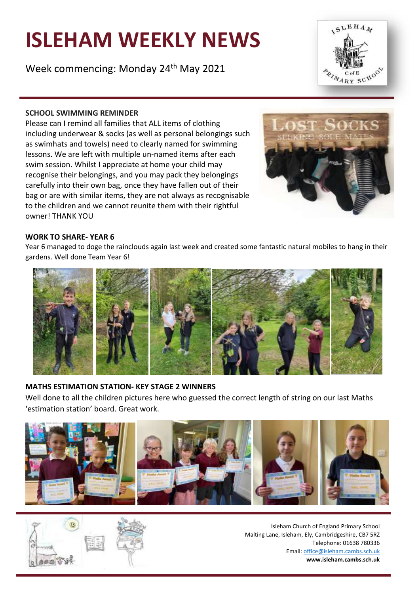# **ISLEHAM WEEKLY NEWS**

Week commencing: Monday 24<sup>th</sup> May 2021



## **SCHOOL SWIMMING REMINDER**

Please can I remind all families that ALL items of clothing including underwear & socks (as well as personal belongings such as swimhats and towels) need to clearly named for swimming lessons. We are left with multiple un-named items after each swim session. Whilst I appreciate at home your child may recognise their belongings, and you may pack they belongings carefully into their own bag, once they have fallen out of their bag or are with similar items, they are not always as recognisable to the children and we cannot reunite them with their rightful owner! THANK YOU



## **WORK TO SHARE- YEAR 6**

Year 6 managed to doge the rainclouds again last week and created some fantastic natural mobiles to hang in their gardens. Well done Team Year 6!



## **MATHS ESTIMATION STATION- KEY STAGE 2 WINNERS**

Well done to all the children pictures here who guessed the correct length of string on our last Maths 'estimation station' board. Great work.



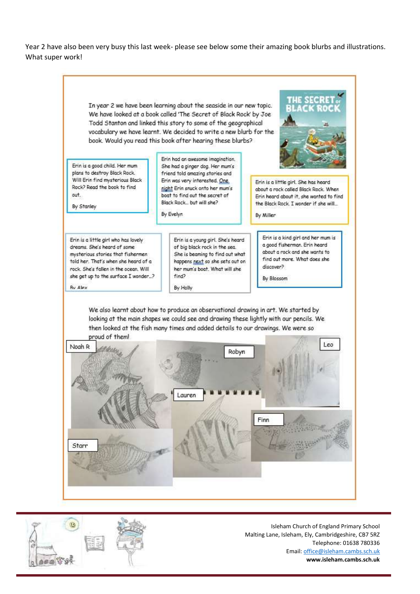Year 2 have also been very busy this last week- please see below some their amazing book blurbs and illustrations. What super work!



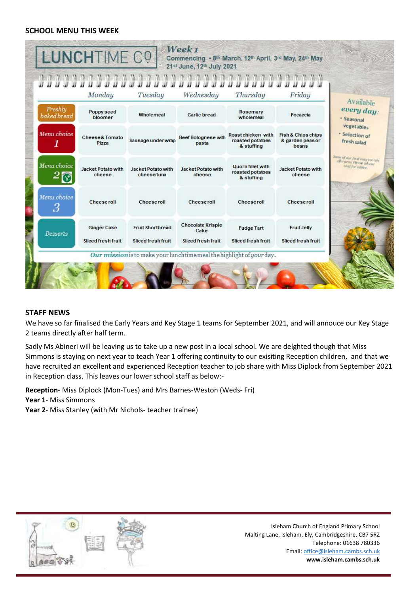#### **SCHOOL MENU THIS WEEK**

|                        | Monday                                   | Tuesday                                       | Wednesday                                              | Thursday                                                   | Friday                                                     | Available                                                                     |
|------------------------|------------------------------------------|-----------------------------------------------|--------------------------------------------------------|------------------------------------------------------------|------------------------------------------------------------|-------------------------------------------------------------------------------|
| Freshlu<br>baked bread | Poppy seed<br>bloomer                    | Wholemeal                                     | <b>Garlic bread</b>                                    | Rosemary<br>wholemeal                                      | Focaccia                                                   | every day:<br>· Seasonal                                                      |
| Menu choice<br>1       | Cheese & Tomato<br>Pizza                 | Sausage under wrap                            | Beef Bolognese with<br>pasta                           | Roast chicken with<br>roasted potatoes<br>& stuffing       | <b>Fish &amp; Chips chips</b><br>& garden peas or<br>beans | vegetables<br>· Selection of<br>fresh salad                                   |
| Menu choice            | <b>Jacket Potato with</b><br>cheese      | Jacket Potato with<br>cheese/tuna             | <b>Jacket Potato with</b><br>cheese                    | <b>Quorn fillet with</b><br>roasted potatoes<br>& stuffing | <b>Jacket Potato with</b><br>cheese                        | Some of our food may contain<br>allergens, Please osk our<br>chef for advice. |
| Menu choice<br>3       | Cheeseroll                               | Cheeseroll                                    | Cheeseroll                                             | Cheeseroll                                                 | <b>Cheeseroll</b>                                          |                                                                               |
| <b>Desserts</b>        | <b>Ginger Cake</b><br>Sliced fresh fruit | <b>Fruit Shortbread</b><br>Sliced fresh fruit | <b>Chocolate Krispie</b><br>Cake<br>Sliced fresh fruit | <b>Fudge Tart</b><br>Sliced fresh fruit                    | <b>Fruit Jelly</b><br>Sliced fresh fruit                   |                                                                               |

## **STAFF NEWS**

We have so far finalised the Early Years and Key Stage 1 teams for September 2021, and will annouce our Key Stage 2 teams directly after half term.

Sadly Ms Abineri will be leaving us to take up a new post in a local school. We are delghted though that Miss Simmons is staying on next year to teach Year 1 offering continuity to our exisiting Reception children, and that we have recruited an excellent and experienced Reception teacher to job share with Miss Diplock from September 2021 in Reception class. This leaves our lower school staff as below:-

**Reception**- Miss Diplock (Mon-Tues) and Mrs Barnes-Weston (Weds- Fri)

**Year 1**- Miss Simmons

**Year 2**- Miss Stanley (with Mr Nichols- teacher trainee)

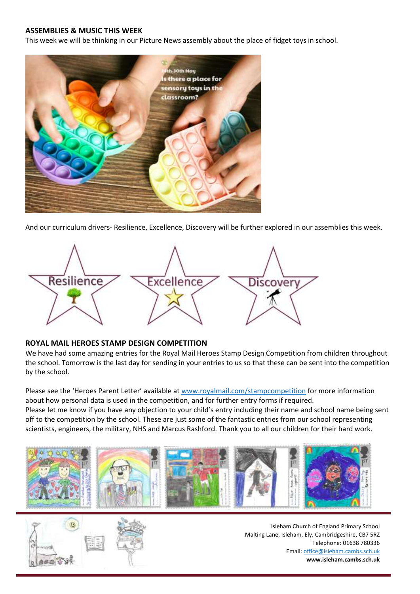### **ASSEMBLIES & MUSIC THIS WEEK**

This week we will be thinking in our Picture News assembly about the place of fidget toys in school.



And our curriculum drivers- Resilience, Excellence, Discovery will be further explored in our assemblies this week.



#### **ROYAL MAIL HEROES STAMP DESIGN COMPETITION**

We have had some amazing entries for the Royal Mail Heroes Stamp Design Competition from children throughout the school. Tomorrow is the last day for sending in your entries to us so that these can be sent into the competition by the school.

Please see the 'Heroes Parent Letter' available at [www.royalmail.com/stampcompetition](http://www.royalmail.com/stampcompetition) for more information about how personal data is used in the competition, and for further entry forms if required. Please let me know if you have any objection to your child's entry including their name and school name being sent off to the competition by the school. These are just some of the fantastic entries from our school representing scientists, engineers, the military, NHS and Marcus Rashford. Thank you to all our children for their hard work.